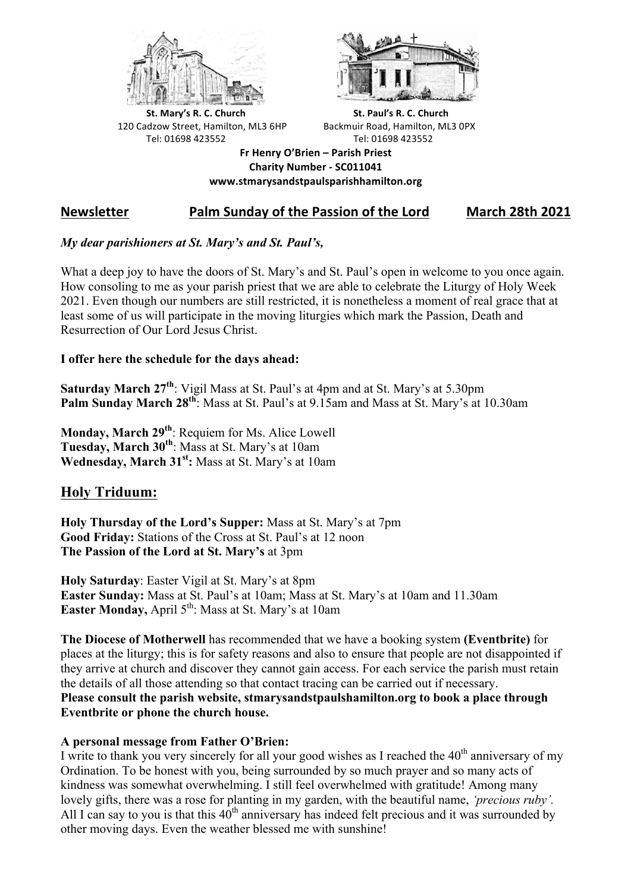



**St.** Mary's R. C. Church St. Paul's R. C. Church 120 Cadzow Street, Hamilton, ML3 6HP Backmuir Road, Hamilton, ML3 0PX Tel: 01698 423552 Tel: 01698 423552

**Fr Henry O'Brien – Parish Priest Charity Number - SC011041 www.stmarysandstpaulsparishhamilton.org**

# **Newsletter Palm Sunday of the Passion of the Lord** March 28th 2021

## *My dear parishioners at St. Mary's and St. Paul's,*

What a deep joy to have the doors of St. Mary's and St. Paul's open in welcome to you once again. How consoling to me as your parish priest that we are able to celebrate the Liturgy of Holy Week 2021. Even though our numbers are still restricted, it is nonetheless a moment of real grace that at least some of us will participate in the moving liturgies which mark the Passion, Death and Resurrection of Our Lord Jesus Christ.

## **I offer here the schedule for the days ahead:**

**Saturday March 27th**: Vigil Mass at St. Paul's at 4pm and at St. Mary's at 5.30pm **Palm Sunday March 28th**: Mass at St. Paul's at 9.15am and Mass at St. Mary's at 10.30am

**Monday, March 29th**: Requiem for Ms. Alice Lowell **Tuesday, March 30th**: Mass at St. Mary's at 10am Wednesday, March 31<sup>st</sup>: Mass at St. Mary's at 10am

# **Holy Triduum:**

**Holy Thursday of the Lord's Supper:** Mass at St. Mary's at 7pm **Good Friday:** Stations of the Cross at St. Paul's at 12 noon **The Passion of the Lord at St. Mary's** at 3pm

**Holy Saturday**: Easter Vigil at St. Mary's at 8pm **Easter Sunday:** Mass at St. Paul's at 10am; Mass at St. Mary's at 10am and 11.30am **Easter Monday, April 5<sup>th</sup>: Mass at St. Mary's at 10am** 

**The Diocese of Motherwell** has recommended that we have a booking system **(Eventbrite)** for places at the liturgy; this is for safety reasons and also to ensure that people are not disappointed if they arrive at church and discover they cannot gain access. For each service the parish must retain the details of all those attending so that contact tracing can be carried out if necessary. **Please consult the parish website, stmarysandstpaulshamilton.org to book a place through Eventbrite or phone the church house.**

## **A personal message from Father O'Brien:**

I write to thank you very sincerely for all your good wishes as I reached the  $40<sup>th</sup>$  anniversary of my Ordination. To be honest with you, being surrounded by so much prayer and so many acts of kindness was somewhat overwhelming. I still feel overwhelmed with gratitude! Among many lovely gifts, there was a rose for planting in my garden, with the beautiful name, *'precious ruby'.* All I can say to you is that this  $40^{th}$  anniversary has indeed felt precious and it was surrounded by other moving days. Even the weather blessed me with sunshine!